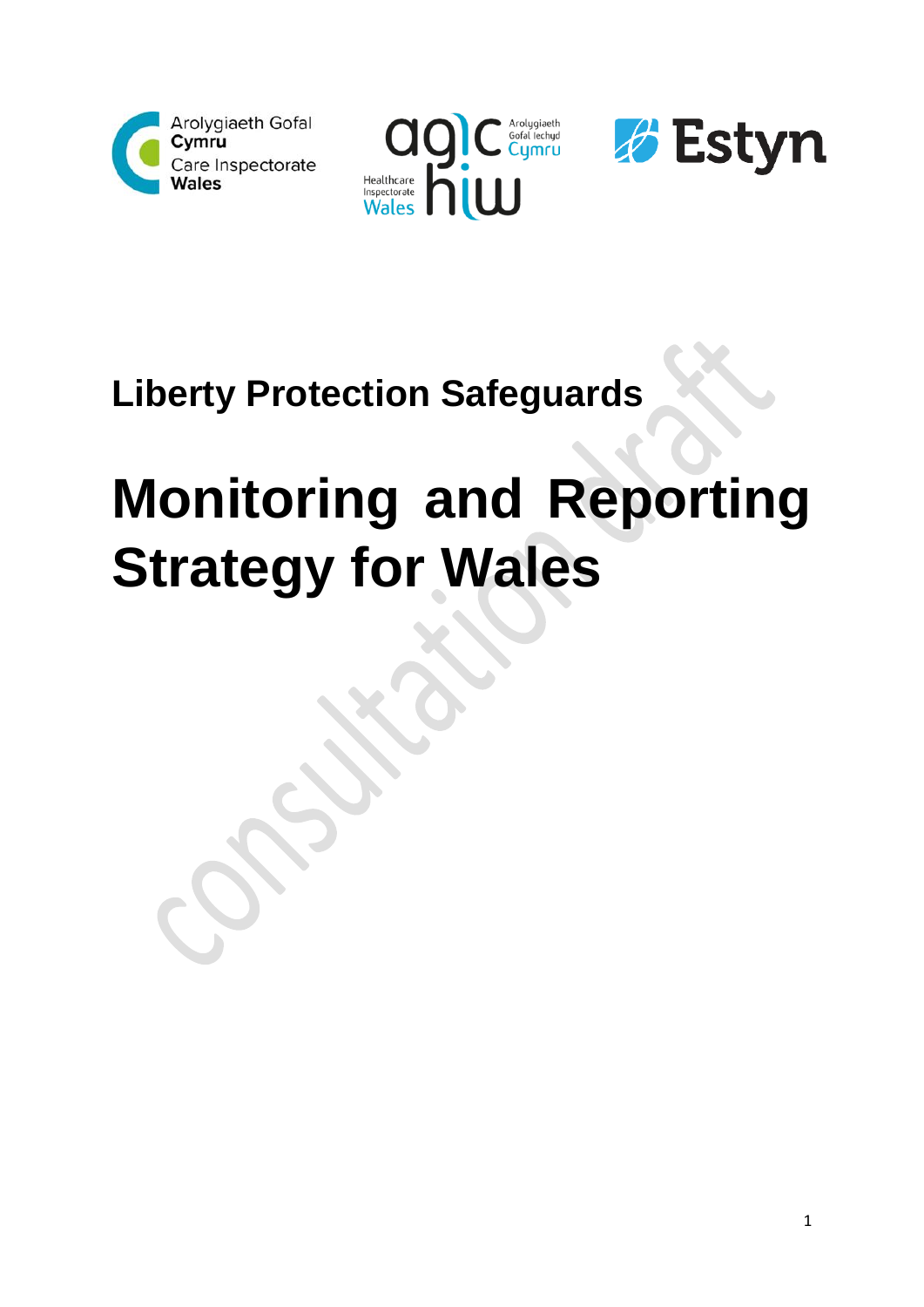





## **Liberty Protection Safeguards**

# **Monitoring and Reporting Strategy for Wales**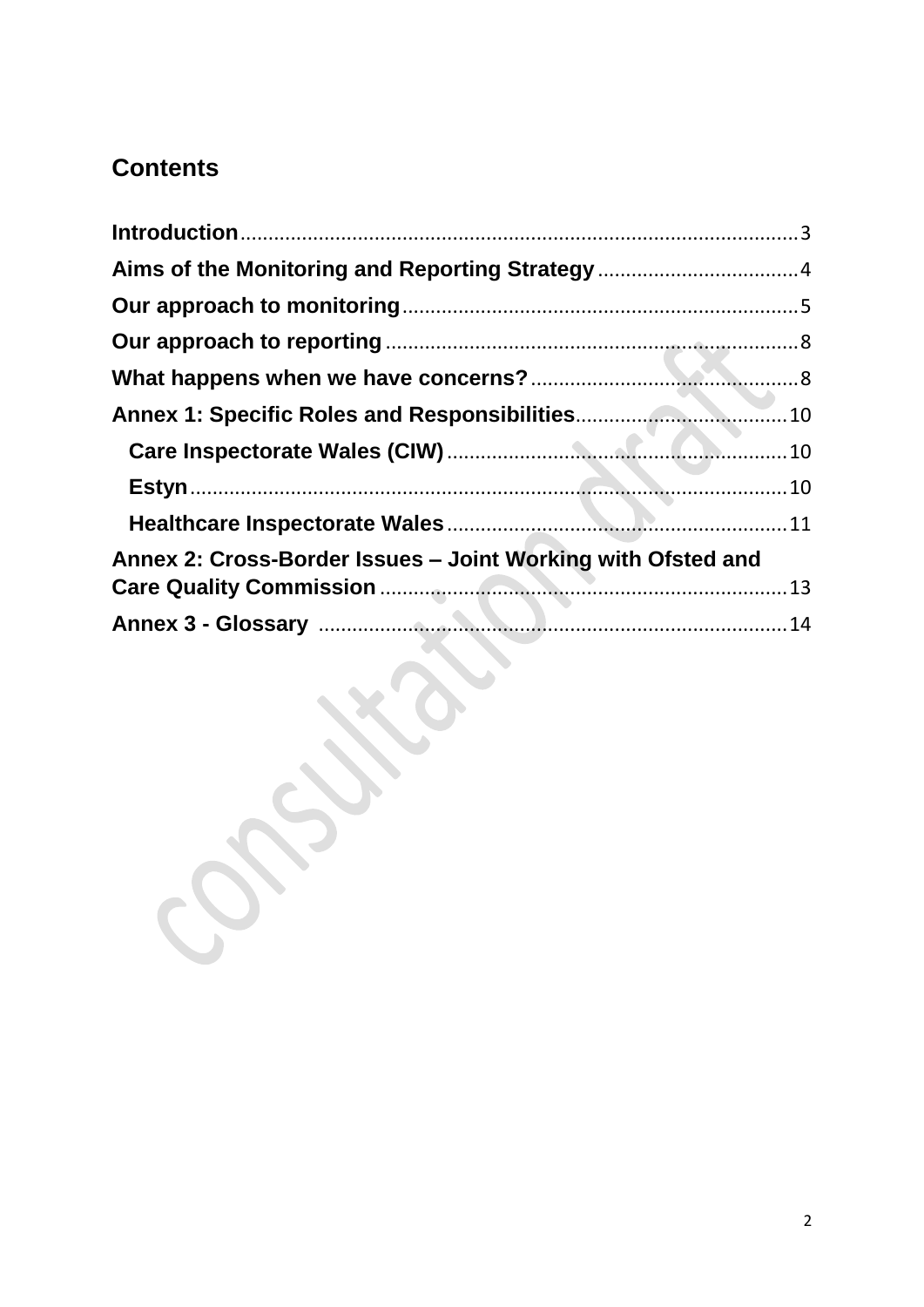## **Contents**

| Annex 2: Cross-Border Issues – Joint Working with Ofsted and |  |
|--------------------------------------------------------------|--|
|                                                              |  |
|                                                              |  |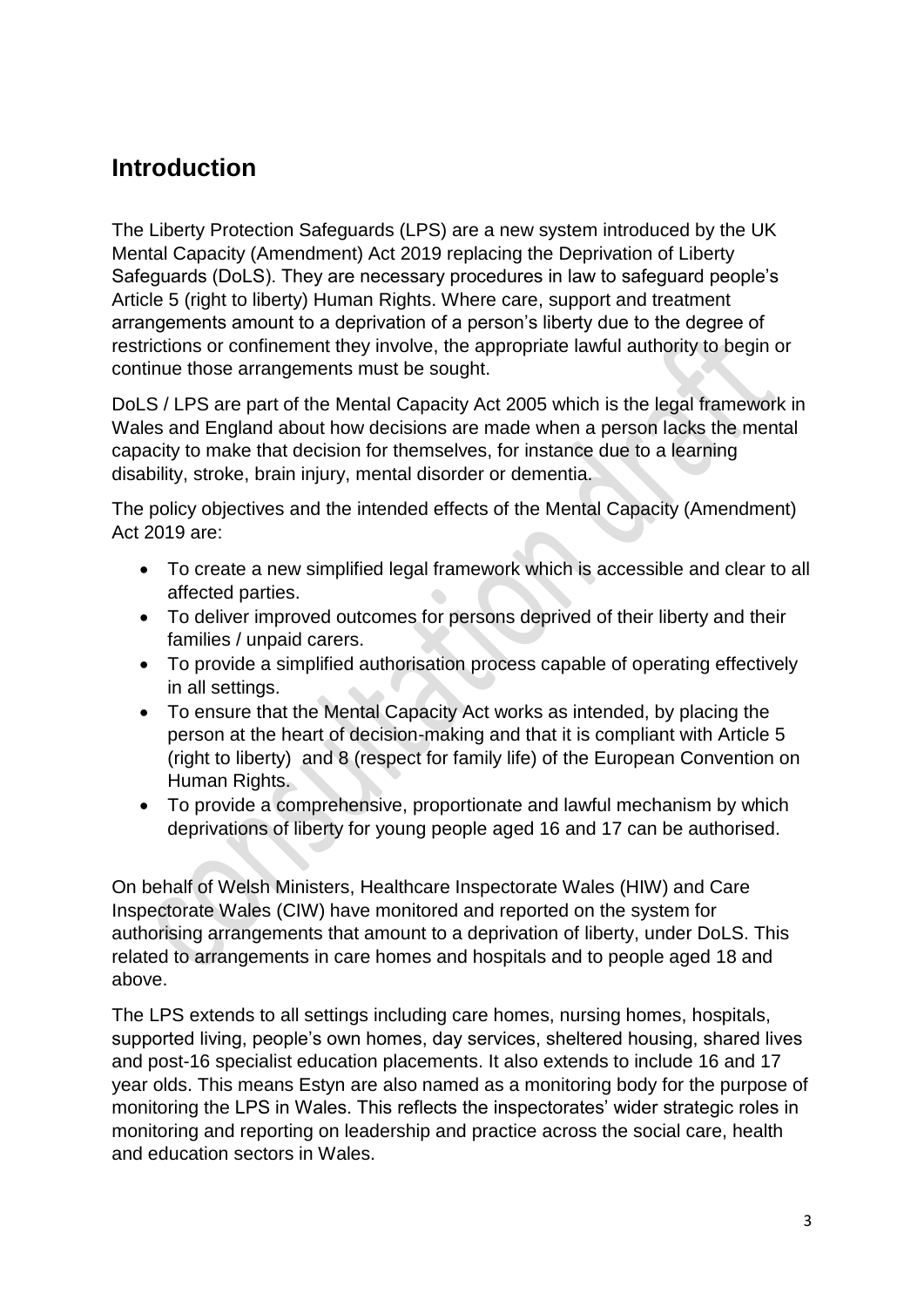## <span id="page-2-0"></span>**Introduction**

The Liberty Protection Safeguards (LPS) are a new system introduced by the UK Mental Capacity (Amendment) Act 2019 replacing the Deprivation of Liberty Safeguards (DoLS). They are necessary procedures in law to safeguard people's Article 5 (right to liberty) Human Rights. Where care, support and treatment arrangements amount to a deprivation of a person's liberty due to the degree of restrictions or confinement they involve, the appropriate lawful authority to begin or continue those arrangements must be sought.

DoLS / LPS are part of the Mental Capacity Act 2005 which is the legal framework in Wales and England about how decisions are made when a person lacks the mental capacity to make that decision for themselves, for instance due to a learning disability, stroke, brain injury, mental disorder or dementia.

The policy objectives and the intended effects of the Mental Capacity (Amendment) Act 2019 are:

- To create a new simplified legal framework which is accessible and clear to all affected parties.
- To deliver improved outcomes for persons deprived of their liberty and their families / unpaid carers.
- To provide a simplified authorisation process capable of operating effectively in all settings.
- To ensure that the Mental Capacity Act works as intended, by placing the person at the heart of decision-making and that it is compliant with Article 5 (right to liberty) and 8 (respect for family life) of the European Convention on Human Rights.
- To provide a comprehensive, proportionate and lawful mechanism by which deprivations of liberty for young people aged 16 and 17 can be authorised.

On behalf of Welsh Ministers, Healthcare Inspectorate Wales (HIW) and Care Inspectorate Wales (CIW) have monitored and reported on the system for authorising arrangements that amount to a deprivation of liberty, under DoLS. This related to arrangements in care homes and hospitals and to people aged 18 and above.

The LPS extends to all settings including care homes, nursing homes, hospitals, supported living, people's own homes, day services, sheltered housing, shared lives and post-16 specialist education placements. It also extends to include 16 and 17 year olds. This means Estyn are also named as a monitoring body for the purpose of monitoring the LPS in Wales. This reflects the inspectorates' wider strategic roles in monitoring and reporting on leadership and practice across the social care, health and education sectors in Wales.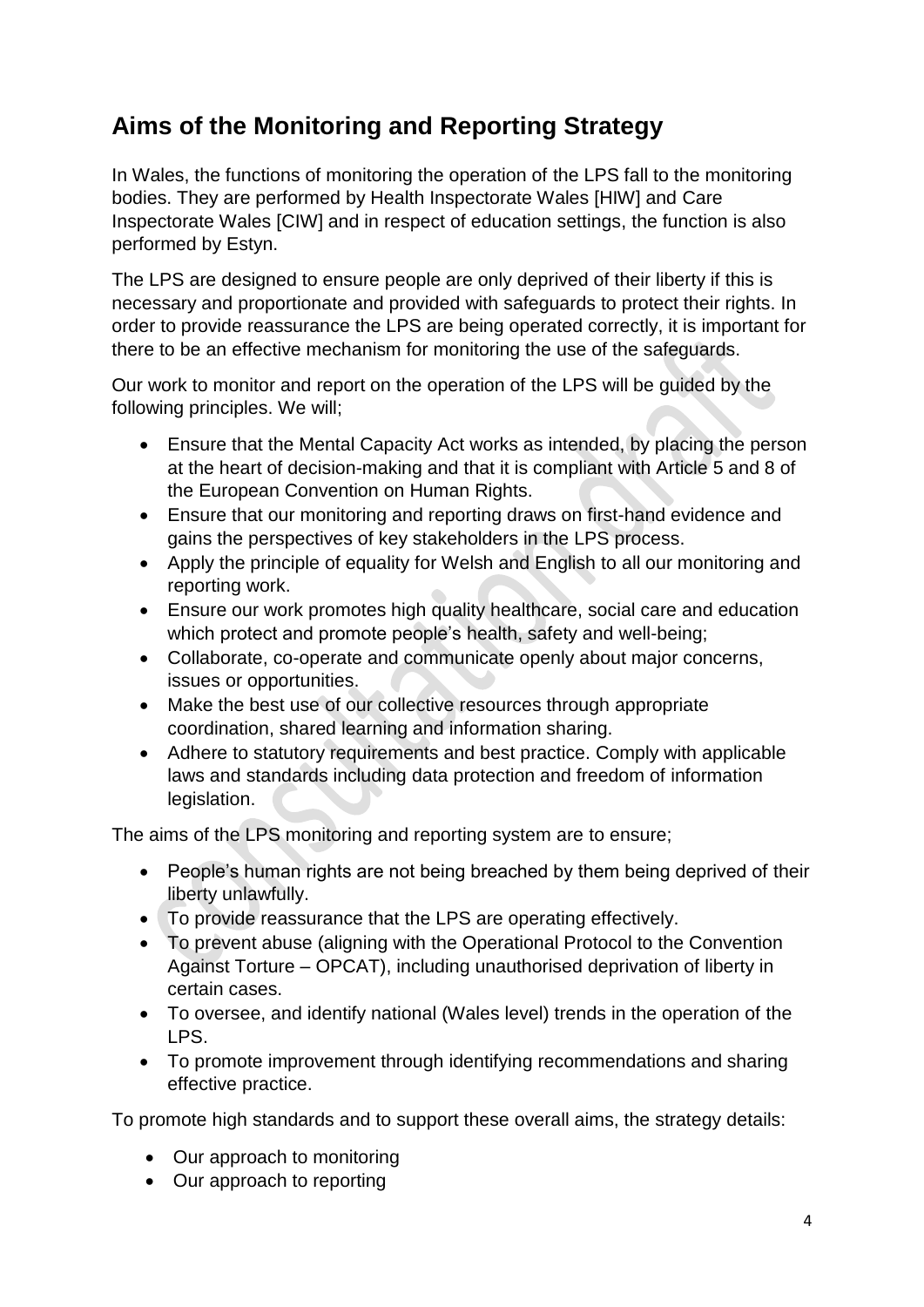## <span id="page-3-0"></span>**Aims of the Monitoring and Reporting Strategy**

In Wales, the functions of monitoring the operation of the LPS fall to the monitoring bodies. They are performed by Health Inspectorate Wales [HIW] and Care Inspectorate Wales [CIW] and in respect of education settings, the function is also performed by Estyn.

The LPS are designed to ensure people are only deprived of their liberty if this is necessary and proportionate and provided with safeguards to protect their rights. In order to provide reassurance the LPS are being operated correctly, it is important for there to be an effective mechanism for monitoring the use of the safeguards.

Our work to monitor and report on the operation of the LPS will be guided by the following principles. We will;

- Ensure that the Mental Capacity Act works as intended, by placing the person at the heart of decision-making and that it is compliant with Article 5 and 8 of the European Convention on Human Rights.
- Ensure that our monitoring and reporting draws on first-hand evidence and gains the perspectives of key stakeholders in the LPS process.
- Apply the principle of equality for Welsh and English to all our monitoring and reporting work.
- Ensure our work promotes high quality healthcare, social care and education which protect and promote people's health, safety and well-being;
- Collaborate, co-operate and communicate openly about major concerns, issues or opportunities.
- Make the best use of our collective resources through appropriate coordination, shared learning and information sharing.
- Adhere to statutory requirements and best practice. Comply with applicable laws and standards including data protection and freedom of information legislation.

The aims of the LPS monitoring and reporting system are to ensure;

- People's human rights are not being breached by them being deprived of their liberty unlawfully.
- To provide reassurance that the LPS are operating effectively.
- To prevent abuse (aligning with the Operational Protocol to the Convention Against Torture – OPCAT), including unauthorised deprivation of liberty in certain cases.
- To oversee, and identify national (Wales level) trends in the operation of the LPS.
- To promote improvement through identifying recommendations and sharing effective practice.

To promote high standards and to support these overall aims, the strategy details:

- Our approach to monitoring
- Our approach to reporting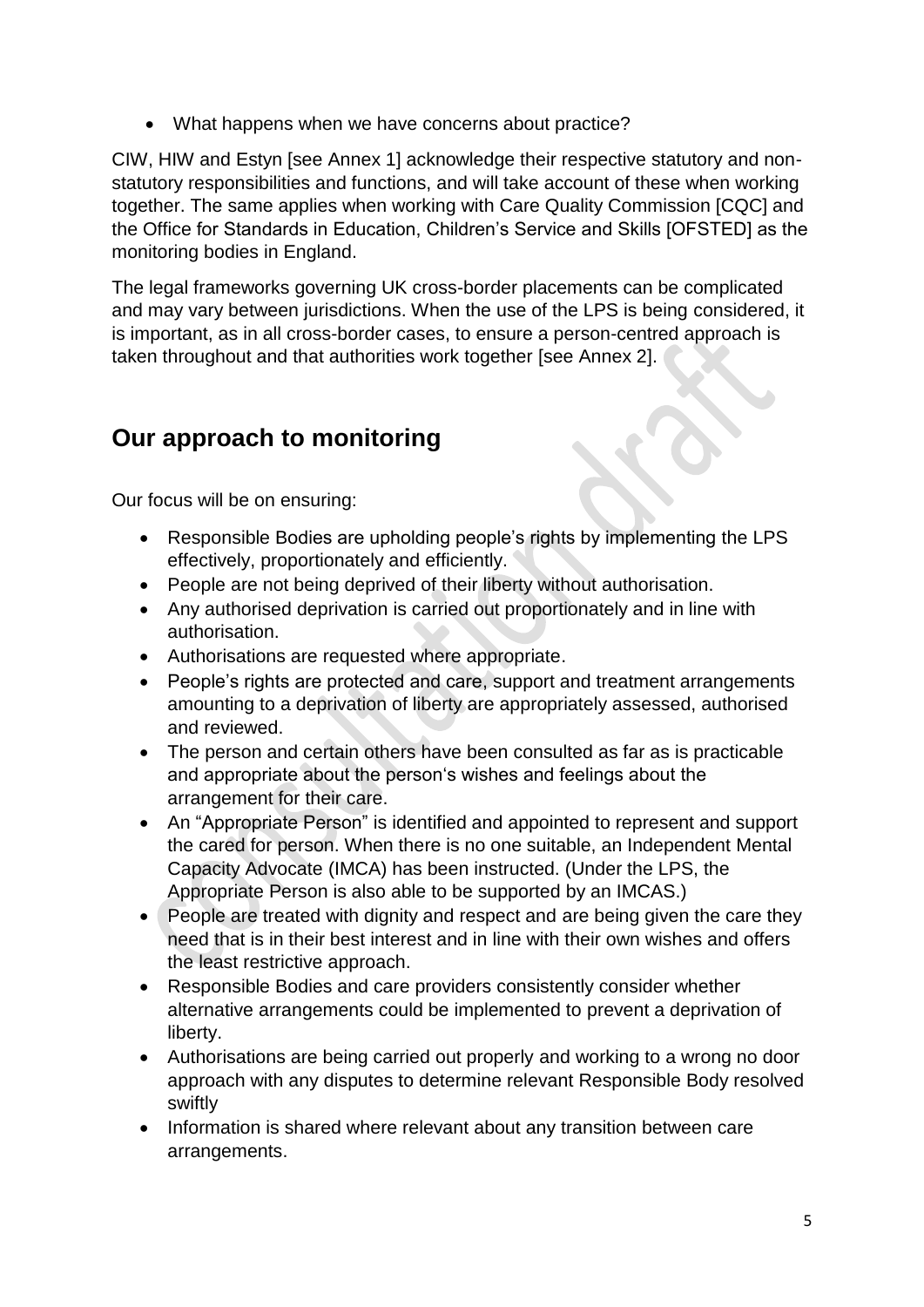• What happens when we have concerns about practice?

CIW, HIW and Estyn [see Annex 1] acknowledge their respective statutory and nonstatutory responsibilities and functions, and will take account of these when working together. The same applies when working with Care Quality Commission [CQC] and the Office for Standards in Education, Children's Service and Skills [OFSTED] as the monitoring bodies in England.

The legal frameworks governing UK cross-border placements can be complicated and may vary between jurisdictions. When the use of the LPS is being considered, it is important, as in all cross-border cases, to ensure a person-centred approach is taken throughout and that authorities work together [see Annex 2].

## <span id="page-4-0"></span>**Our approach to monitoring**

Our focus will be on ensuring:

- Responsible Bodies are upholding people's rights by implementing the LPS effectively, proportionately and efficiently.
- People are not being deprived of their liberty without authorisation.
- Any authorised deprivation is carried out proportionately and in line with authorisation.
- Authorisations are requested where appropriate.
- People's rights are protected and care, support and treatment arrangements amounting to a deprivation of liberty are appropriately assessed, authorised and reviewed.
- The person and certain others have been consulted as far as is practicable and appropriate about the person's wishes and feelings about the arrangement for their care.
- An "Appropriate Person" is identified and appointed to represent and support the cared for person. When there is no one suitable, an Independent Mental Capacity Advocate (IMCA) has been instructed. (Under the LPS, the Appropriate Person is also able to be supported by an IMCAS.)
- People are treated with dignity and respect and are being given the care they need that is in their best interest and in line with their own wishes and offers the least restrictive approach.
- Responsible Bodies and care providers consistently consider whether alternative arrangements could be implemented to prevent a deprivation of liberty.
- Authorisations are being carried out properly and working to a wrong no door approach with any disputes to determine relevant Responsible Body resolved swiftly
- Information is shared where relevant about any transition between care arrangements.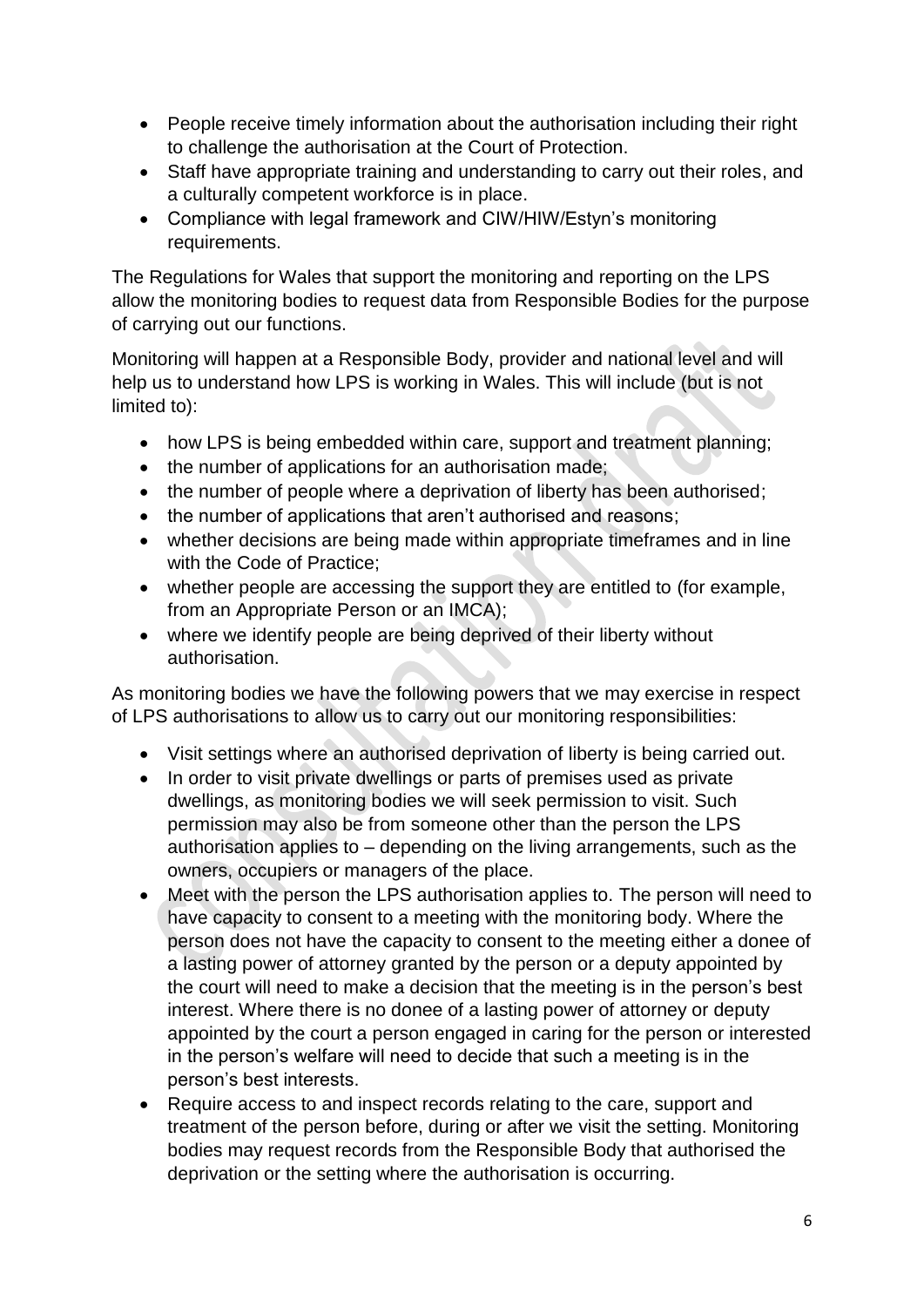- People receive timely information about the authorisation including their right to challenge the authorisation at the Court of Protection.
- Staff have appropriate training and understanding to carry out their roles, and a culturally competent workforce is in place.
- Compliance with legal framework and CIW/HIW/Estyn's monitoring requirements.

The Regulations for Wales that support the monitoring and reporting on the LPS allow the monitoring bodies to request data from Responsible Bodies for the purpose of carrying out our functions.

Monitoring will happen at a Responsible Body, provider and national level and will help us to understand how LPS is working in Wales. This will include (but is not limited to):

- how LPS is being embedded within care, support and treatment planning;
- the number of applications for an authorisation made;
- the number of people where a deprivation of liberty has been authorised;
- the number of applications that aren't authorised and reasons;
- whether decisions are being made within appropriate timeframes and in line with the Code of Practice;
- whether people are accessing the support they are entitled to (for example, from an Appropriate Person or an IMCA);
- where we identify people are being deprived of their liberty without authorisation.

As monitoring bodies we have the following powers that we may exercise in respect of LPS authorisations to allow us to carry out our monitoring responsibilities:

- Visit settings where an authorised deprivation of liberty is being carried out.
- In order to visit private dwellings or parts of premises used as private dwellings, as monitoring bodies we will seek permission to visit. Such permission may also be from someone other than the person the LPS authorisation applies to – depending on the living arrangements, such as the owners, occupiers or managers of the place.
- Meet with the person the LPS authorisation applies to. The person will need to have capacity to consent to a meeting with the monitoring body. Where the person does not have the capacity to consent to the meeting either a donee of a lasting power of attorney granted by the person or a deputy appointed by the court will need to make a decision that the meeting is in the person's best interest. Where there is no donee of a lasting power of attorney or deputy appointed by the court a person engaged in caring for the person or interested in the person's welfare will need to decide that such a meeting is in the person's best interests.
- Require access to and inspect records relating to the care, support and treatment of the person before, during or after we visit the setting. Monitoring bodies may request records from the Responsible Body that authorised the deprivation or the setting where the authorisation is occurring.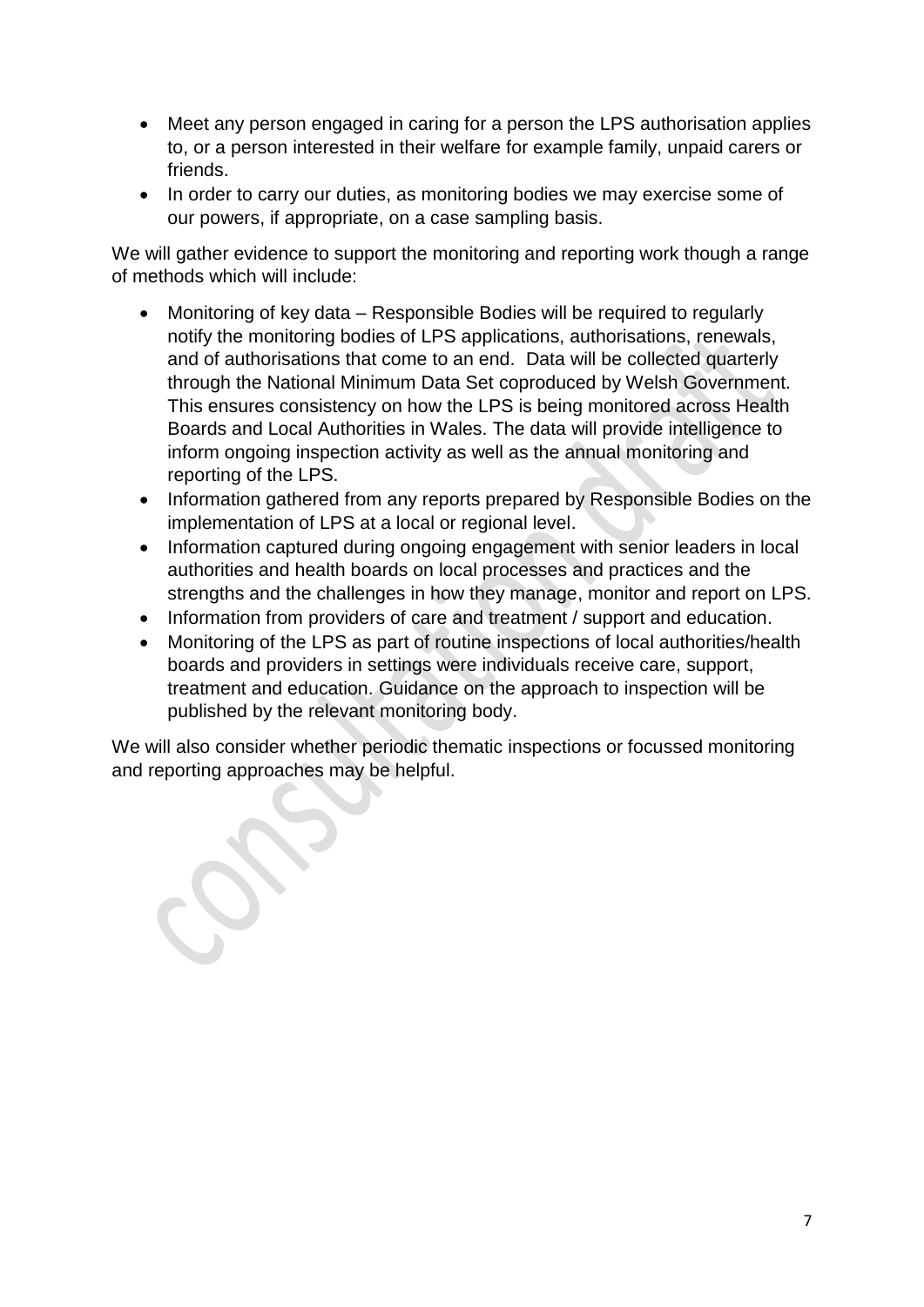- Meet any person engaged in caring for a person the LPS authorisation applies to, or a person interested in their welfare for example family, unpaid carers or friends.
- In order to carry our duties, as monitoring bodies we may exercise some of our powers, if appropriate, on a case sampling basis.

We will gather evidence to support the monitoring and reporting work though a range of methods which will include:

- Monitoring of key data Responsible Bodies will be required to regularly notify the monitoring bodies of LPS applications, authorisations, renewals, and of authorisations that come to an end. Data will be collected quarterly through the National Minimum Data Set coproduced by Welsh Government. This ensures consistency on how the LPS is being monitored across Health Boards and Local Authorities in Wales. The data will provide intelligence to inform ongoing inspection activity as well as the annual monitoring and reporting of the LPS.
- Information gathered from any reports prepared by Responsible Bodies on the implementation of LPS at a local or regional level.
- Information captured during ongoing engagement with senior leaders in local authorities and health boards on local processes and practices and the strengths and the challenges in how they manage, monitor and report on LPS.
- Information from providers of care and treatment / support and education.
- Monitoring of the LPS as part of routine inspections of local authorities/health boards and providers in settings were individuals receive care, support, treatment and education. Guidance on the approach to inspection will be published by the relevant monitoring body.

We will also consider whether periodic thematic inspections or focussed monitoring and reporting approaches may be helpful.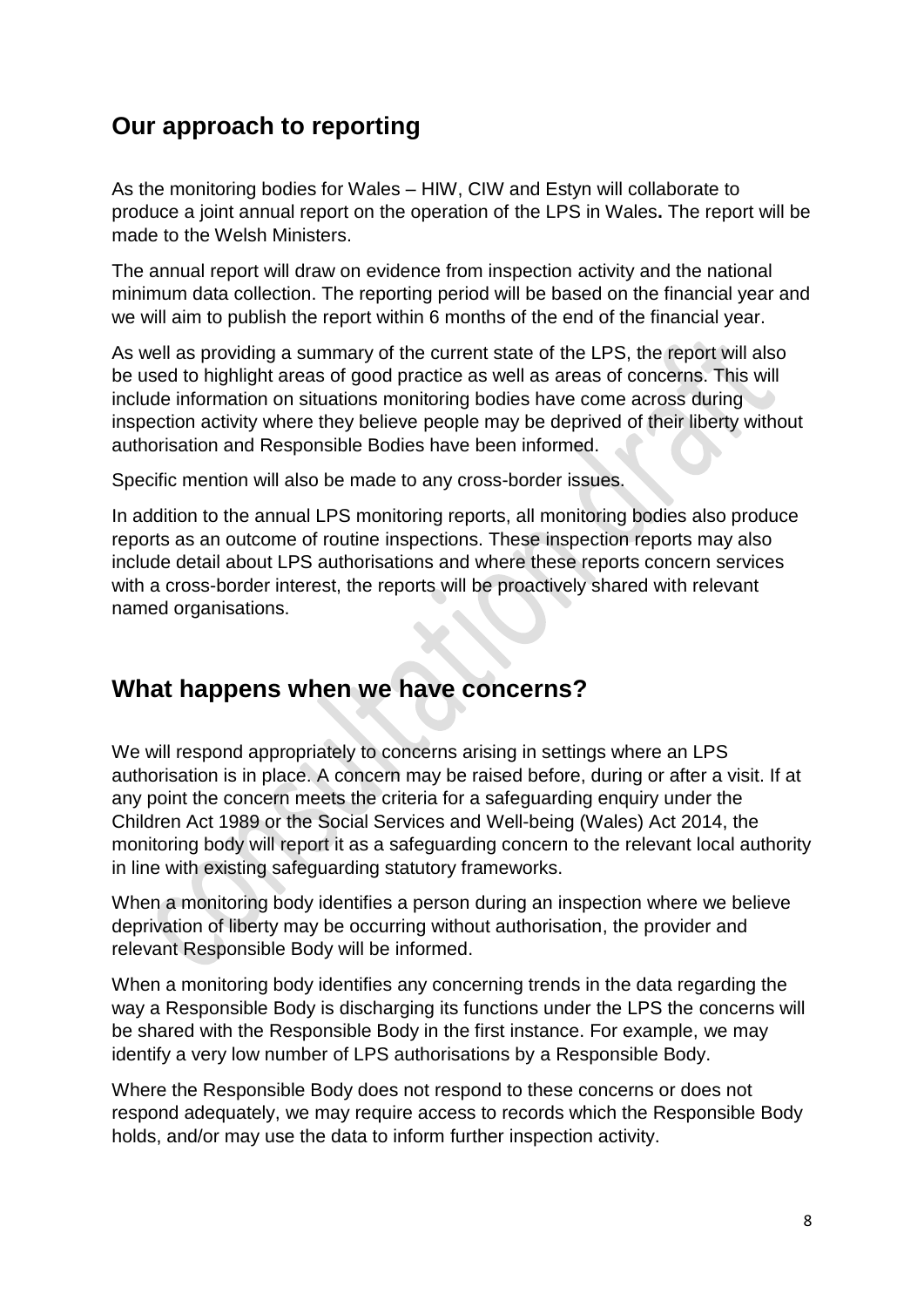## <span id="page-7-0"></span>**Our approach to reporting**

As the monitoring bodies for Wales – HIW, CIW and Estyn will collaborate to produce a joint annual report on the operation of the LPS in Wales**.** The report will be made to the Welsh Ministers.

The annual report will draw on evidence from inspection activity and the national minimum data collection. The reporting period will be based on the financial year and we will aim to publish the report within 6 months of the end of the financial year.

As well as providing a summary of the current state of the LPS, the report will also be used to highlight areas of good practice as well as areas of concerns. This will include information on situations monitoring bodies have come across during inspection activity where they believe people may be deprived of their liberty without authorisation and Responsible Bodies have been informed.

Specific mention will also be made to any cross-border issues.

In addition to the annual LPS monitoring reports, all monitoring bodies also produce reports as an outcome of routine inspections. These inspection reports may also include detail about LPS authorisations and where these reports concern services with a cross-border interest, the reports will be proactively shared with relevant named organisations.

## <span id="page-7-1"></span>**What happens when we have concerns?**

We will respond appropriately to concerns arising in settings where an LPS authorisation is in place. A concern may be raised before, during or after a visit. If at any point the concern meets the criteria for a safeguarding enquiry under the Children Act 1989 or the Social Services and Well-being (Wales) Act 2014, the monitoring body will report it as a safeguarding concern to the relevant local authority in line with existing safeguarding statutory frameworks.

When a monitoring body identifies a person during an inspection where we believe deprivation of liberty may be occurring without authorisation, the provider and relevant Responsible Body will be informed.

When a monitoring body identifies any concerning trends in the data regarding the way a Responsible Body is discharging its functions under the LPS the concerns will be shared with the Responsible Body in the first instance. For example, we may identify a very low number of LPS authorisations by a Responsible Body.

Where the Responsible Body does not respond to these concerns or does not respond adequately, we may require access to records which the Responsible Body holds, and/or may use the data to inform further inspection activity.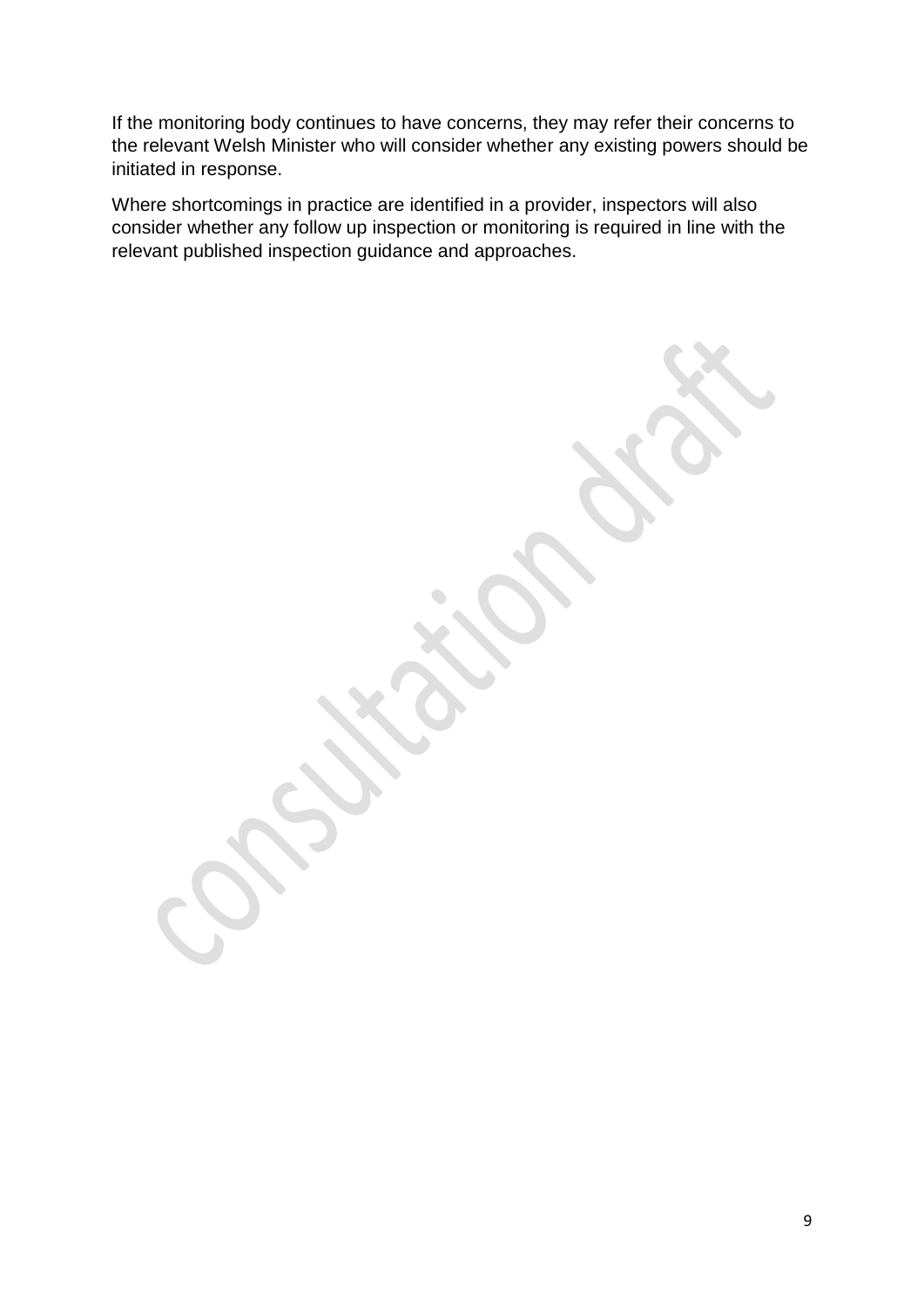If the monitoring body continues to have concerns, they may refer their concerns to the relevant Welsh Minister who will consider whether any existing powers should be initiated in response.

Where shortcomings in practice are identified in a provider, inspectors will also consider whether any follow up inspection or monitoring is required in line with the relevant published inspection guidance and approaches.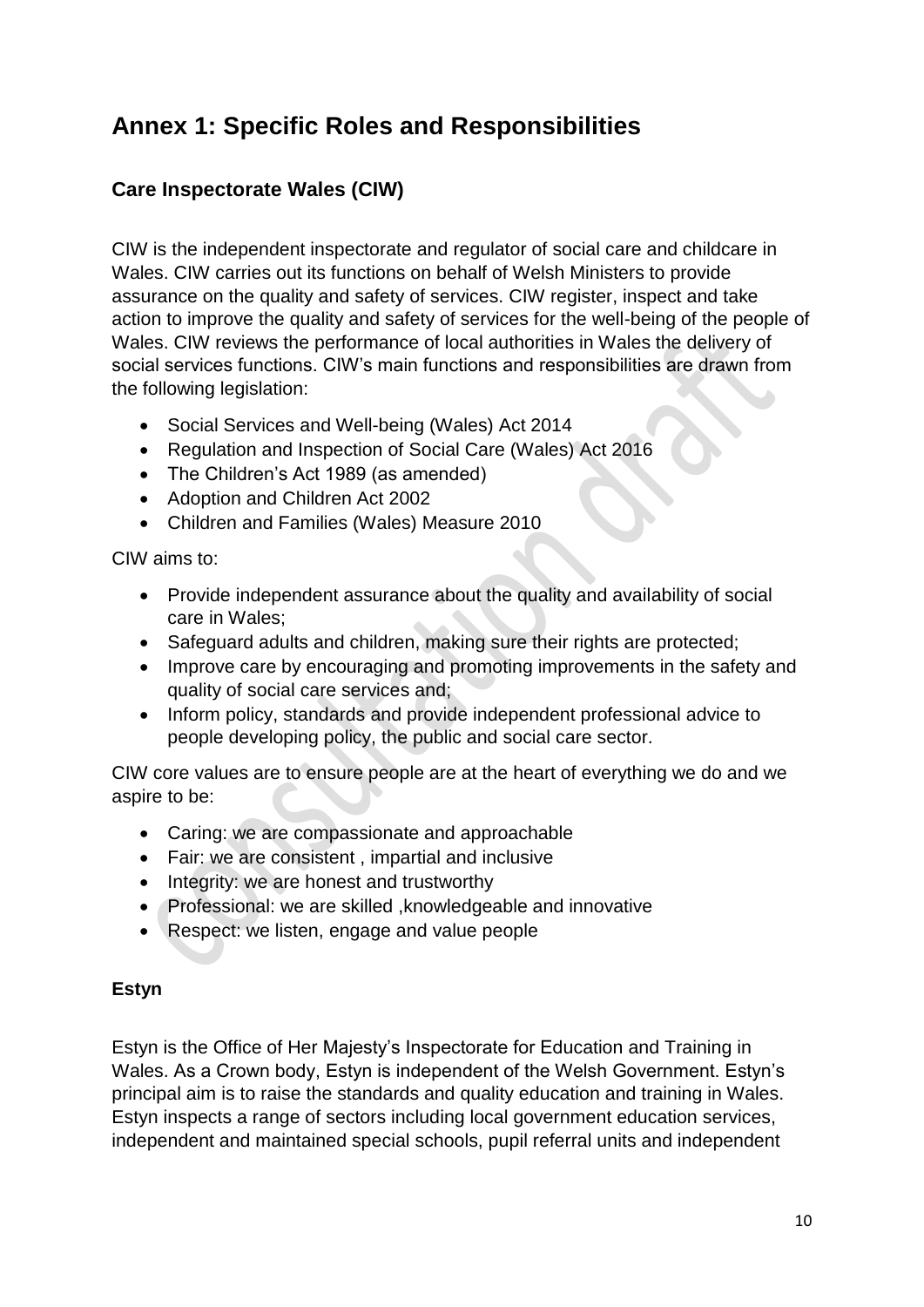## <span id="page-9-0"></span>**Annex 1: Specific Roles and Responsibilities**

## <span id="page-9-1"></span>**Care Inspectorate Wales (CIW)**

CIW is the independent inspectorate and regulator of social care and childcare in Wales. CIW carries out its functions on behalf of Welsh Ministers to provide assurance on the quality and safety of services. CIW register, inspect and take action to improve the quality and safety of services for the well-being of the people of Wales. CIW reviews the performance of local authorities in Wales the delivery of social services functions. CIW's main functions and responsibilities are drawn from the following legislation:

- Social Services and Well-being (Wales) Act 2014
- Regulation and Inspection of Social Care (Wales) Act 2016
- The Children's Act 1989 (as amended)
- Adoption and Children Act 2002
- Children and Families (Wales) Measure 2010

### CIW aims to:

- Provide independent assurance about the quality and availability of social care in Wales;
- Safeguard adults and children, making sure their rights are protected;
- Improve care by encouraging and promoting improvements in the safety and quality of social care services and;
- Inform policy, standards and provide independent professional advice to people developing policy, the public and social care sector.

CIW core values are to ensure people are at the heart of everything we do and we aspire to be:

- Caring: we are compassionate and approachable
- Fair: we are consistent , impartial and inclusive
- Integrity: we are honest and trustworthy
- Professional: we are skilled ,knowledgeable and innovative
- Respect: we listen, engage and value people

### <span id="page-9-2"></span>**Estyn**

Estyn is the Office of Her Majesty's Inspectorate for Education and Training in Wales. As a Crown body, Estyn is independent of the Welsh Government. Estyn's principal aim is to raise the standards and quality education and training in Wales. Estyn inspects a range of sectors including local government education services, independent and maintained special schools, pupil referral units and independent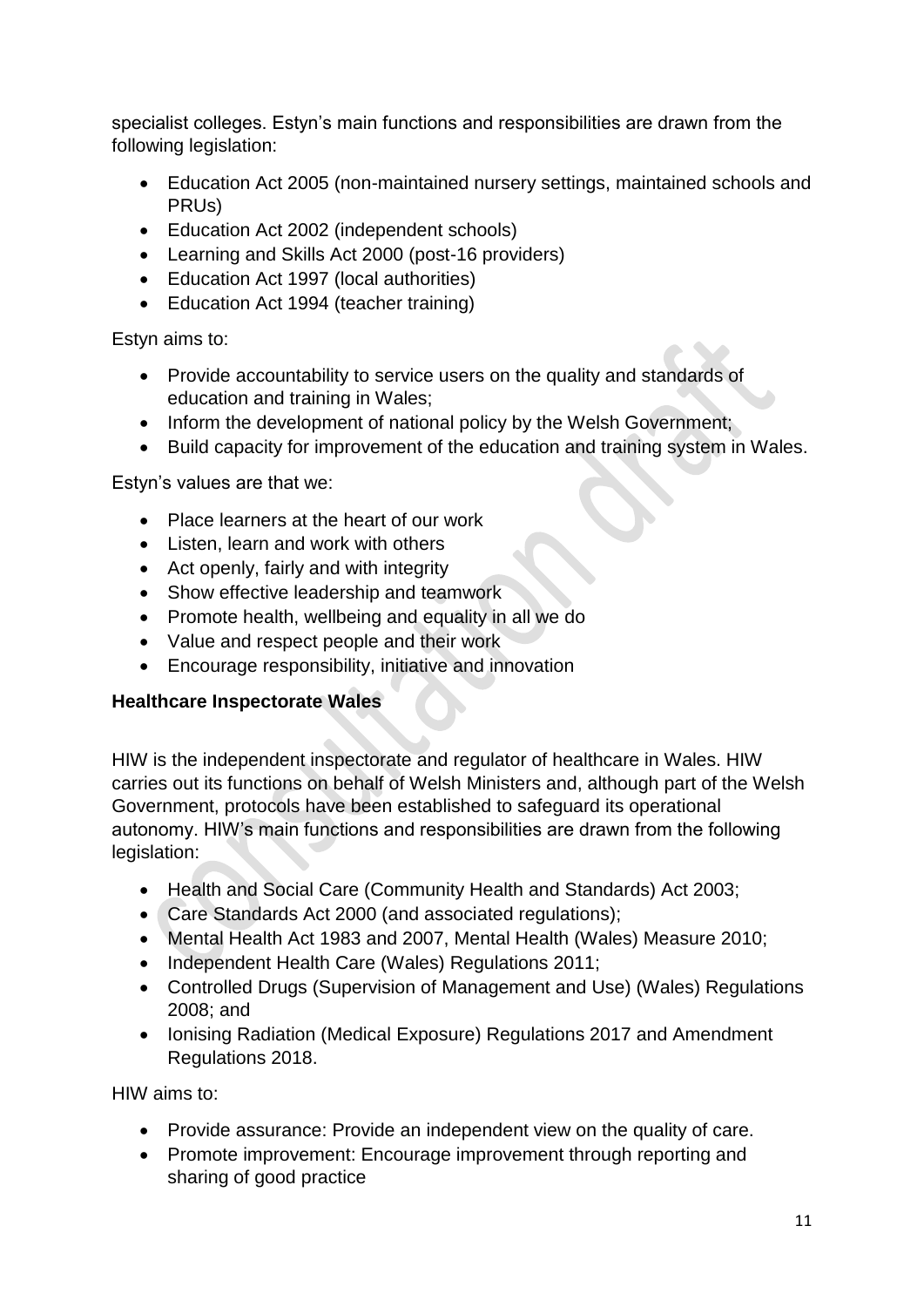specialist colleges. Estyn's main functions and responsibilities are drawn from the following legislation:

- Education Act 2005 (non-maintained nursery settings, maintained schools and PRUs)
- Education Act 2002 (independent schools)
- Learning and Skills Act 2000 (post-16 providers)
- Education Act 1997 (local authorities)
- Education Act 1994 (teacher training)

Estyn aims to:

- Provide accountability to service users on the quality and standards of education and training in Wales;
- Inform the development of national policy by the Welsh Government;
- Build capacity for improvement of the education and training system in Wales.

Estyn's values are that we:

- Place learners at the heart of our work
- Listen, learn and work with others
- Act openly, fairly and with integrity
- Show effective leadership and teamwork
- Promote health, wellbeing and equality in all we do
- Value and respect people and their work
- Encourage responsibility, initiative and innovation

## <span id="page-10-0"></span>**Healthcare Inspectorate Wales**

HIW is the independent inspectorate and regulator of healthcare in Wales. HIW carries out its functions on behalf of Welsh Ministers and, although part of the Welsh Government, protocols have been established to safeguard its operational autonomy. HIW's main functions and responsibilities are drawn from the following legislation:

- Health and Social Care (Community Health and Standards) Act 2003;
- Care Standards Act 2000 (and associated regulations);
- Mental Health Act 1983 and 2007, Mental Health (Wales) Measure 2010;
- Independent Health Care (Wales) Regulations 2011;
- Controlled Drugs (Supervision of Management and Use) (Wales) Regulations 2008; and
- Ionising Radiation (Medical Exposure) Regulations 2017 and Amendment Regulations 2018.

HIW aims to:

- Provide assurance: Provide an independent view on the quality of care.
- Promote improvement: Encourage improvement through reporting and sharing of good practice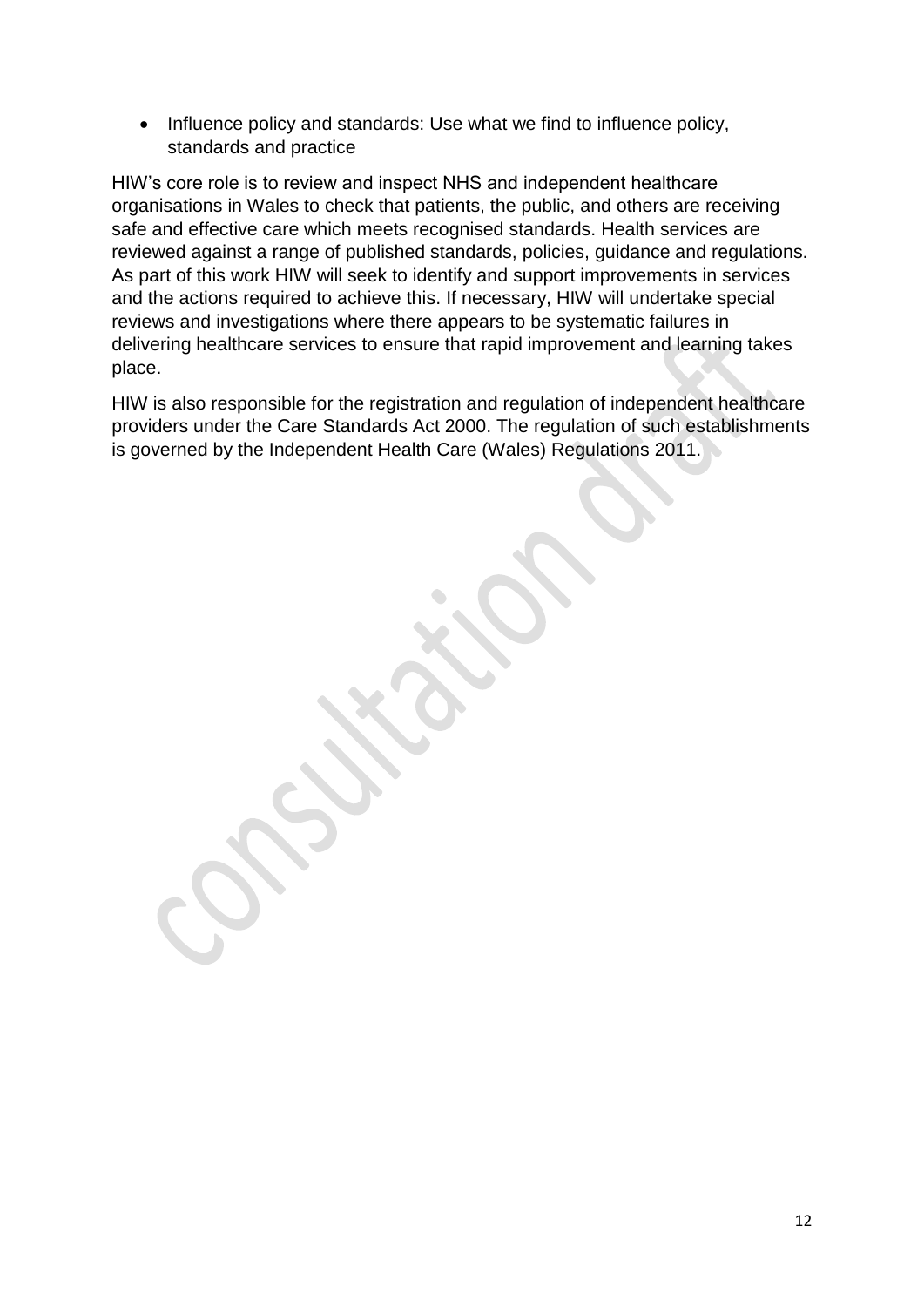• Influence policy and standards: Use what we find to influence policy, standards and practice

HIW's core role is to review and inspect NHS and independent healthcare organisations in Wales to check that patients, the public, and others are receiving safe and effective care which meets recognised standards. Health services are reviewed against a range of published standards, policies, guidance and regulations. As part of this work HIW will seek to identify and support improvements in services and the actions required to achieve this. If necessary, HIW will undertake special reviews and investigations where there appears to be systematic failures in delivering healthcare services to ensure that rapid improvement and learning takes place.

HIW is also responsible for the registration and regulation of independent healthcare providers under the Care Standards Act 2000. The regulation of such establishments is governed by the Independent Health Care (Wales) Regulations 2011.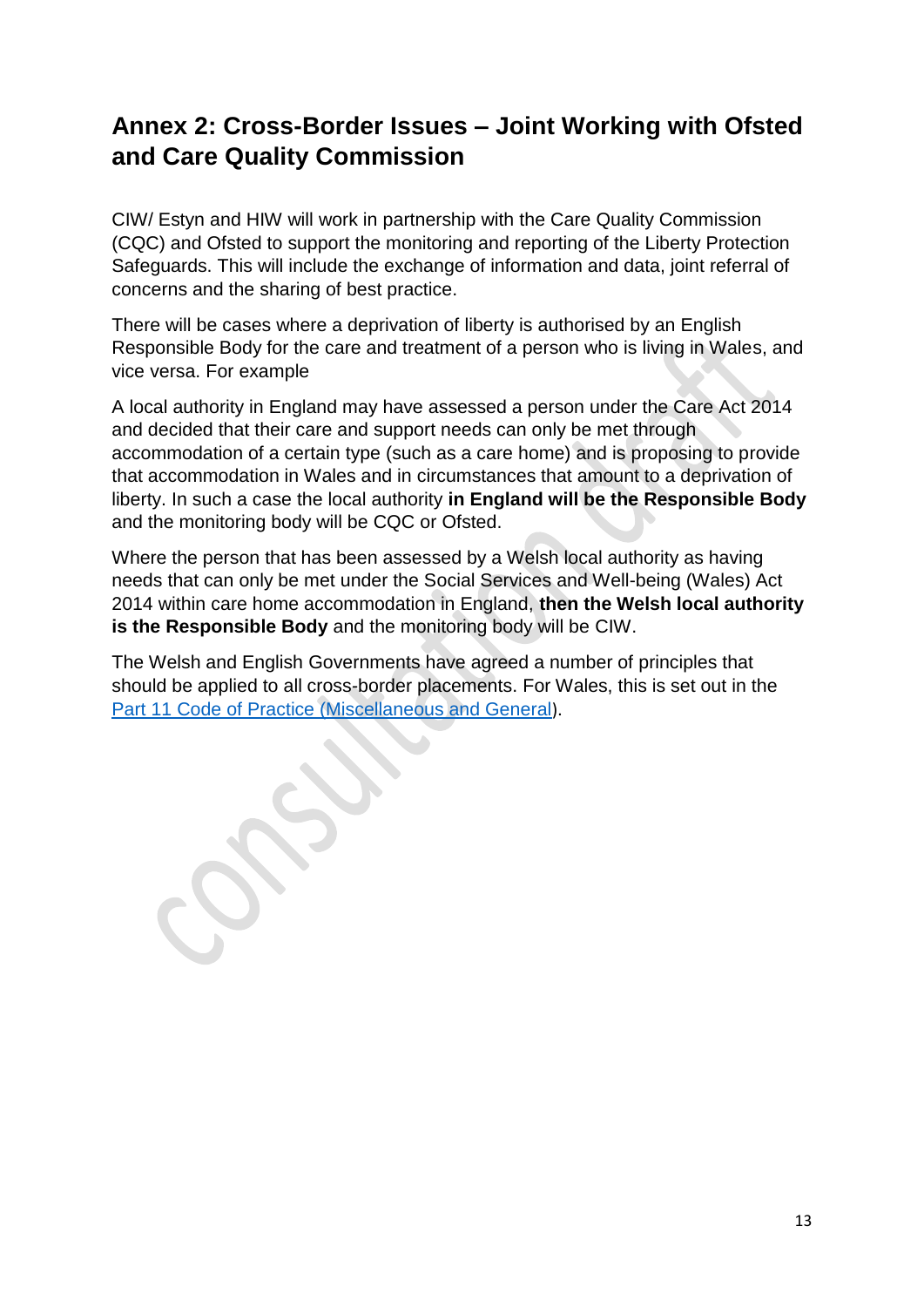## <span id="page-12-0"></span>**Annex 2: Cross-Border Issues – Joint Working with Ofsted and Care Quality Commission**

CIW/ Estyn and HIW will work in partnership with the Care Quality Commission (CQC) and Ofsted to support the monitoring and reporting of the Liberty Protection Safeguards. This will include the exchange of information and data, joint referral of concerns and the sharing of best practice.

There will be cases where a deprivation of liberty is authorised by an English Responsible Body for the care and treatment of a person who is living in Wales, and vice versa. For example

A local authority in England may have assessed a person under the Care Act 2014 and decided that their care and support needs can only be met through accommodation of a certain type (such as a care home) and is proposing to provide that accommodation in Wales and in circumstances that amount to a deprivation of liberty. In such a case the local authority **in England will be the Responsible Body** and the monitoring body will be CQC or Ofsted.

Where the person that has been assessed by a Welsh local authority as having needs that can only be met under the Social Services and Well-being (Wales) Act 2014 within care home accommodation in England, **then the Welsh local authority is the Responsible Body** and the monitoring body will be CIW.

The Welsh and English Governments have agreed a number of principles that should be applied to all cross-border placements. For Wales, this is set out in the [Part 11 Code of Practice \(Miscellaneous and General](https://gov.wales/sites/default/files/publications/2019-05/part-11-code-of-practice-miscellaneous-and-general.pdf)).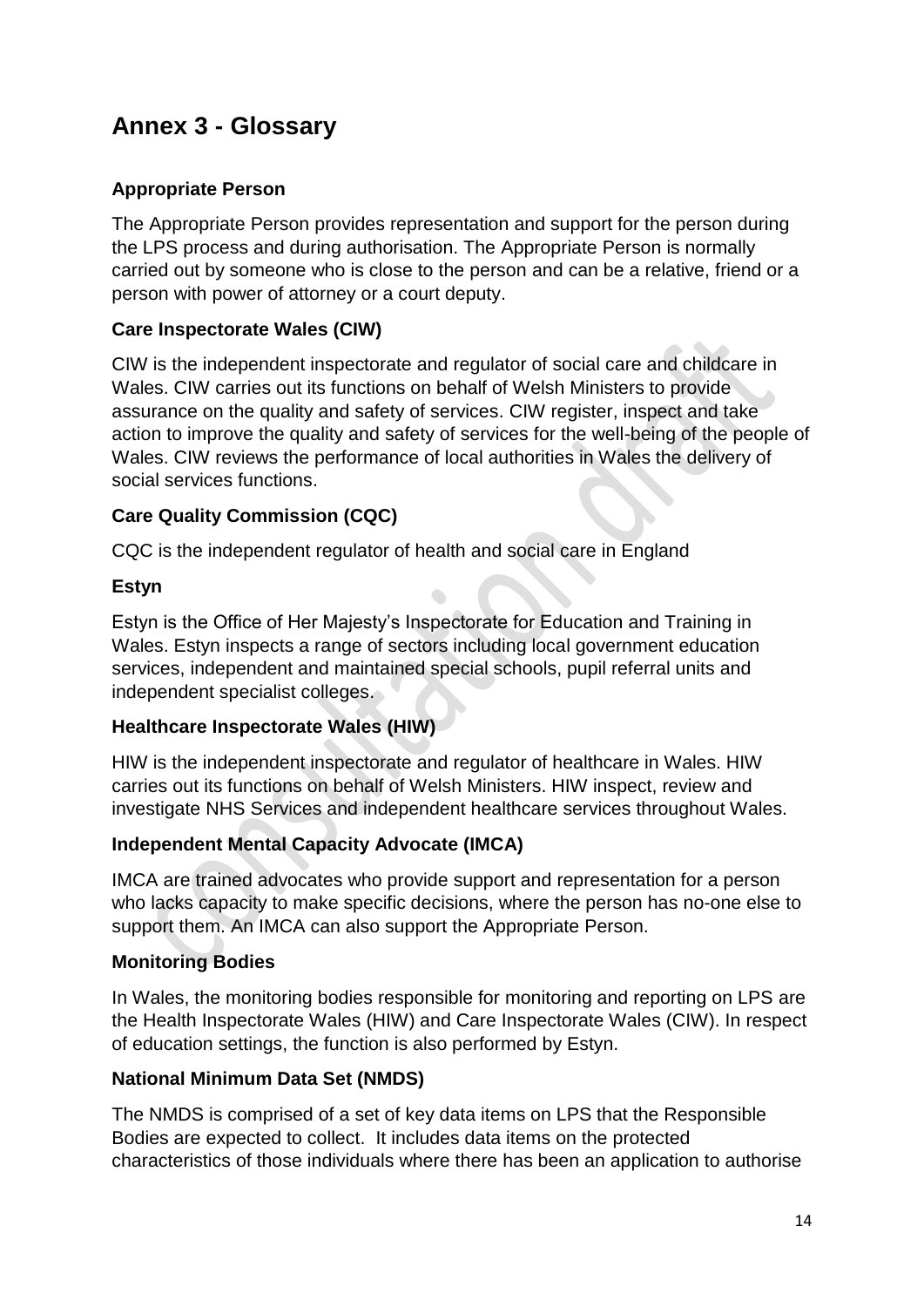## <span id="page-13-0"></span>**Annex 3 - Glossary**

## **Appropriate Person**

The Appropriate Person provides representation and support for the person during the LPS process and during authorisation. The Appropriate Person is normally carried out by someone who is close to the person and can be a relative, friend or a person with power of attorney or a court deputy.

### **Care Inspectorate Wales (CIW)**

CIW is the independent inspectorate and regulator of social care and childcare in Wales. CIW carries out its functions on behalf of Welsh Ministers to provide assurance on the quality and safety of services. CIW register, inspect and take action to improve the quality and safety of services for the well-being of the people of Wales. CIW reviews the performance of local authorities in Wales the delivery of social services functions.

### **Care Quality Commission (CQC)**

CQC is the independent regulator of health and social care in England

### **Estyn**

Estyn is the Office of Her Majesty's Inspectorate for Education and Training in Wales. Estyn inspects a range of sectors including local government education services, independent and maintained special schools, pupil referral units and independent specialist colleges.

### **Healthcare Inspectorate Wales (HIW)**

HIW is the independent inspectorate and regulator of healthcare in Wales. HIW carries out its functions on behalf of Welsh Ministers. HIW inspect, review and investigate NHS Services and independent healthcare services throughout Wales.

### **Independent Mental Capacity Advocate (IMCA)**

IMCA are trained advocates who provide support and representation for a person who lacks capacity to make specific decisions, where the person has no-one else to support them. An IMCA can also support the Appropriate Person.

### **Monitoring Bodies**

In Wales, the monitoring bodies responsible for monitoring and reporting on LPS are the Health Inspectorate Wales (HIW) and Care Inspectorate Wales (CIW). In respect of education settings, the function is also performed by Estyn.

### **National Minimum Data Set (NMDS)**

The NMDS is comprised of a set of key data items on LPS that the Responsible Bodies are expected to collect. It includes data items on the protected characteristics of those individuals where there has been an application to authorise